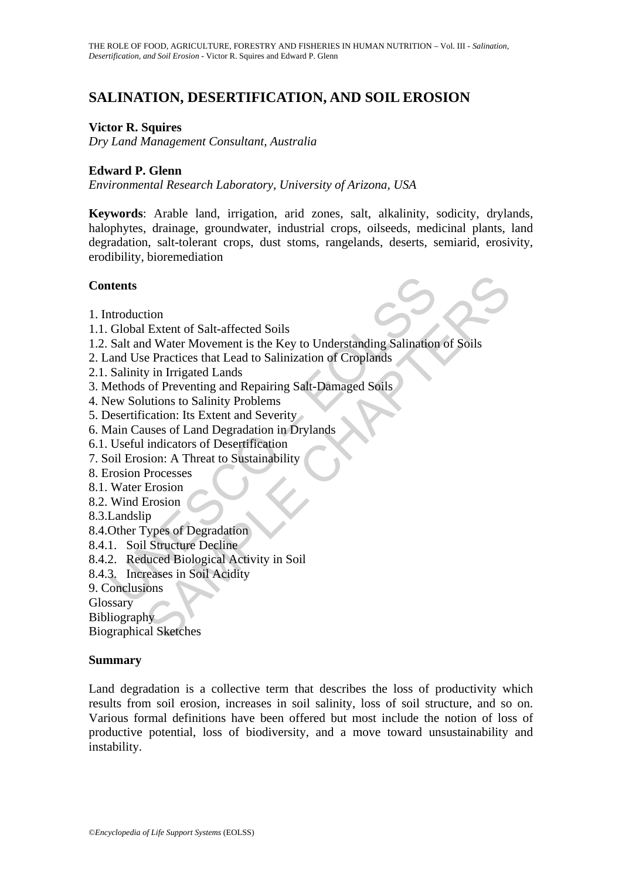# **SALINATION, DESERTIFICATION, AND SOIL EROSION**

### **Victor R. Squires**

*Dry Land Management Consultant, Australia*

### **Edward P. Glenn**

*Environmental Research Laboratory, University of Arizona, USA* 

**Keywords**: Arable land, irrigation, arid zones, salt, alkalinity, sodicity, drylands, halophytes, drainage, groundwater, industrial crops, oilseeds, medicinal plants, land degradation, salt-tolerant crops, dust stoms, rangelands, deserts, semiarid, erosivity, erodibility, bioremediation

### **Contents**

- 1. Introduction
- 1.1. Global Extent of Salt-affected Soils
- **thents**<br>
Introduction<br>
Global Extent of Salt-affected Soils<br>
Salt and Water Movement is the Key to Understanding Salination<br>
and Use Practices that Lead to Salinization of Croplands<br>
Salinity in Irrigated Lands<br>
Intervals tion<br>
Extent of Salt-affected Soils<br>
d Water Movement is the Key to Understanding Salination of Soils<br>
e Practices that Lead to Salinization of Croplands<br>
is in Irrigated Lands<br>
of Preventing and Repairing Salt-Dämaged Soi 1.2. Salt and Water Movement is the Key to Understanding Salination of Soils
- 2. Land Use Practices that Lead to Salinization of Croplands
- 2.1. Salinity in Irrigated Lands
- 3. Methods of Preventing and Repairing Salt-Damaged Soils
- 4. New Solutions to Salinity Problems
- 5. Desertification: Its Extent and Severity
- 6. Main Causes of Land Degradation in Drylands
- 6.1. Useful indicators of Desertification
- 7. Soil Erosion: A Threat to Sustainability
- 8. Erosion Processes
- 8.1. Water Erosion
- 8.2. Wind Erosion
- 8.3.Landslip
- 8.4.Other Types of Degradation
- 8.4.1. Soil Structure Decline
- 8.4.2. Reduced Biological Activity in Soil
- 8.4.3. Increases in Soil Acidity
- 9. Conclusions
- **Glossary**

Bibliography

Biographical Sketches

#### **Summary**

Land degradation is a collective term that describes the loss of productivity which results from soil erosion, increases in soil salinity, loss of soil structure, and so on. Various formal definitions have been offered but most include the notion of loss of productive potential, loss of biodiversity, and a move toward unsustainability and instability.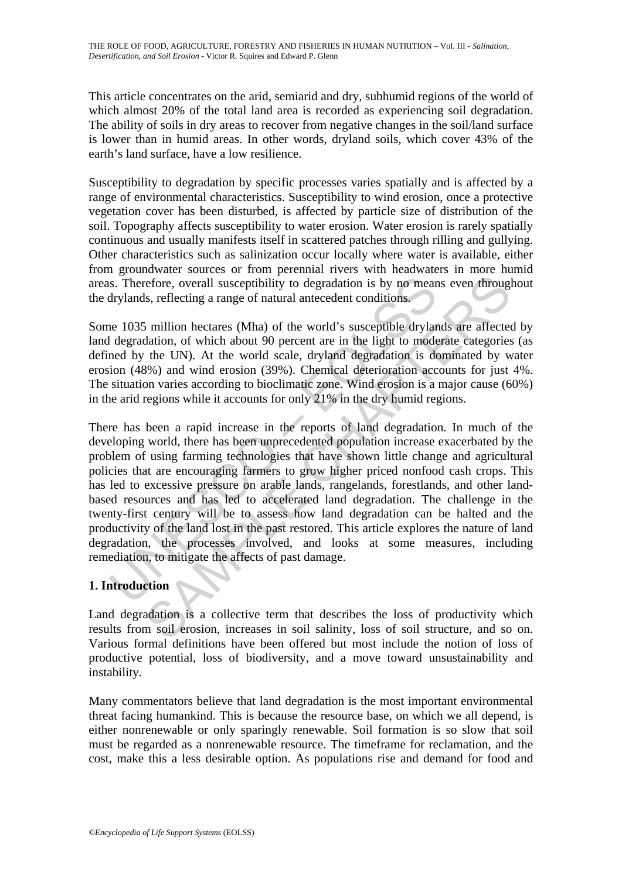This article concentrates on the arid, semiarid and dry, subhumid regions of the world of which almost 20% of the total land area is recorded as experiencing soil degradation. The ability of soils in dry areas to recover from negative changes in the soil/land surface is lower than in humid areas. In other words, dryland soils, which cover 43% of the earth's land surface, have a low resilience.

Susceptibility to degradation by specific processes varies spatially and is affected by a range of environmental characteristics. Susceptibility to wind erosion, once a protective vegetation cover has been disturbed, is affected by particle size of distribution of the soil. Topography affects susceptibility to water erosion. Water erosion is rarely spatially continuous and usually manifests itself in scattered patches through rilling and gullying. Other characteristics such as salinization occur locally where water is available, either from groundwater sources or from perennial rivers with headwaters in more humid areas. Therefore, overall susceptibility to degradation is by no means even throughout the drylands, reflecting a range of natural antecedent conditions.

Some 1035 million hectares (Mha) of the world's susceptible drylands are affected by land degradation, of which about 90 percent are in the light to moderate categories (as defined by the UN). At the world scale, dryland degradation is dominated by water erosion (48%) and wind erosion (39%). Chemical deterioration accounts for just 4%. The situation varies according to bioclimatic zone. Wind erosion is a major cause (60%) in the arid regions while it accounts for only 21% in the dry humid regions.

s. Therefore, overall susceptibility to degradation is by no mear<br>drylands, reflecting a range of natural antecedent conditions.<br>he 1035 million hectares (Mha) of the world's susceptible dryland<br>degradation, of which about refore, overall susceptibility to degradation is by no means even through<br>s, reflecting a range of natural antecedent conditions.<br>Smillion hectares (Mha) of the world's susceptible drylands are affected<br>ation, of which abo There has been a rapid increase in the reports of land degradation. In much of the developing world, there has been unprecedented population increase exacerbated by the problem of using farming technologies that have shown little change and agricultural policies that are encouraging farmers to grow higher priced nonfood cash crops. This has led to excessive pressure on arable lands, rangelands, forestlands, and other landbased resources and has led to accelerated land degradation. The challenge in the twenty-first century will be to assess how land degradation can be halted and the productivity of the land lost in the past restored. This article explores the nature of land degradation, the processes involved, and looks at some measures, including remediation, to mitigate the affects of past damage.

# **1. Introduction**

Land degradation is a collective term that describes the loss of productivity which results from soil erosion, increases in soil salinity, loss of soil structure, and so on. Various formal definitions have been offered but most include the notion of loss of productive potential, loss of biodiversity, and a move toward unsustainability and instability.

Many commentators believe that land degradation is the most important environmental threat facing humankind. This is because the resource base, on which we all depend, is either nonrenewable or only sparingly renewable. Soil formation is so slow that soil must be regarded as a nonrenewable resource. The timeframe for reclamation, and the cost, make this a less desirable option. As populations rise and demand for food and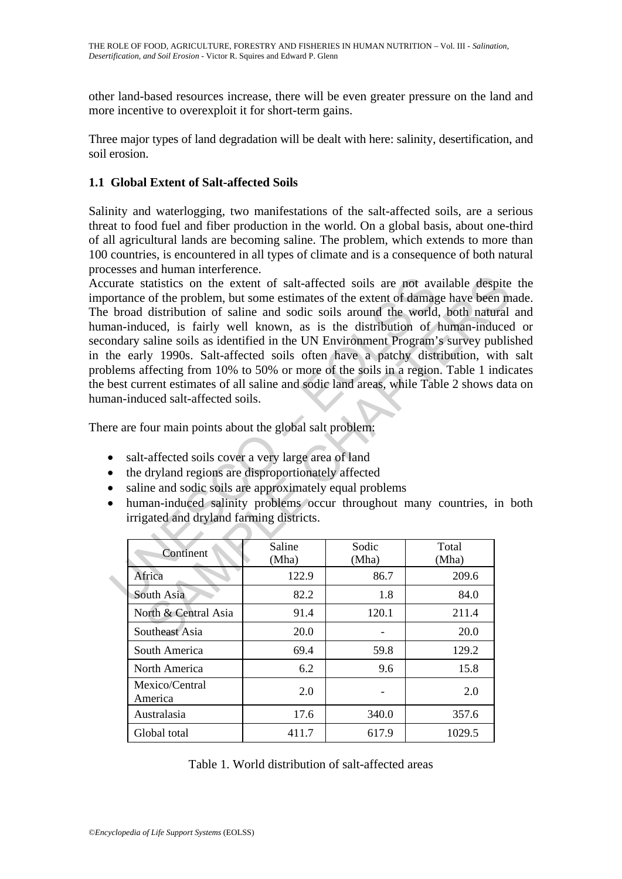other land-based resources increase, there will be even greater pressure on the land and more incentive to overexploit it for short-term gains.

Three major types of land degradation will be dealt with here: salinity, desertification, and soil erosion.

# **1.1 Global Extent of Salt-affected Soils**

Salinity and waterlogging, two manifestations of the salt-affected soils, are a serious threat to food fuel and fiber production in the world. On a global basis, about one-third of all agricultural lands are becoming saline. The problem, which extends to more than 100 countries, is encountered in all types of climate and is a consequence of both natural processes and human interference.

urate statistics on the extent of salt-affected soils are not avant<br>ortance of the problem, but some estimates of the extent of damag<br>broad distribution of saline and sodic soils around the world<br>an-induced, is fairly well traisities on the extent of salt-affected soils are not available despite<br>of the problem, but some estimates of the extent of damage have been m<br>distribution of saline and soids coils around the world, both natural<br>distri Accurate statistics on the extent of salt-affected soils are not available despite the importance of the problem, but some estimates of the extent of damage have been made. The broad distribution of saline and sodic soils around the world, both natural and human-induced, is fairly well known, as is the distribution of human-induced or secondary saline soils as identified in the UN Environment Program's survey published in the early 1990s. Salt-affected soils often have a patchy distribution, with salt problems affecting from 10% to 50% or more of the soils in a region. Table 1 indicates the best current estimates of all saline and sodic land areas, while Table 2 shows data on human-induced salt-affected soils.

There are four main points about the global salt problem:

- salt-affected soils cover a very large area of land
- the dryland regions are disproportionately affected
- saline and sodic soils are approximately equal problems
- human-induced salinity problems occur throughout many countries, in both irrigated and dryland farming districts.

| Continent                 | Saline<br>(Mha) | Sodic<br>(Mha) | Total<br>(Mha) |
|---------------------------|-----------------|----------------|----------------|
| Africa                    | 122.9           | 86.7           | 209.6          |
| South Asia                | 82.2            | 1.8            | 84.0           |
| North & Central Asia      | 91.4            | 120.1          | 211.4          |
| Southeast Asia            | 20.0            |                | 20.0           |
| South America             | 69.4            | 59.8           | 129.2          |
| North America             | 6.2             | 9.6            | 15.8           |
| Mexico/Central<br>America | 2.0             |                | 2.0            |
| Australasia               | 17.6            | 340.0          | 357.6          |
| Global total              | 411.7           | 617.9          | 1029.5         |

Table 1. World distribution of salt-affected areas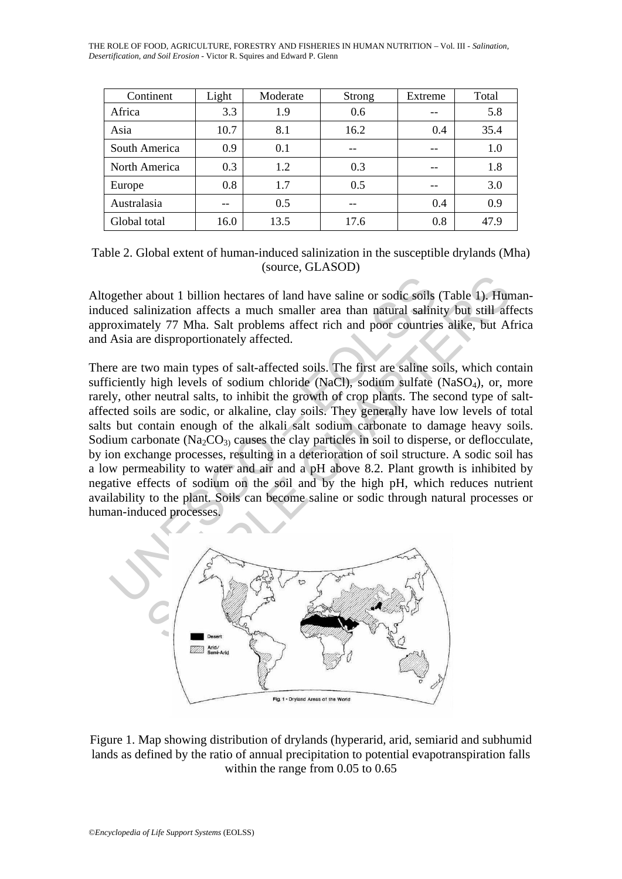THE ROLE OF FOOD, AGRICULTURE, FORESTRY AND FISHERIES IN HUMAN NUTRITION – Vol. III - *Salination, Desertification, and Soil Erosion* - Victor R. Squires and Edward P. Glenn

| Continent     | Light | Moderate | Strong | Extreme | Total |
|---------------|-------|----------|--------|---------|-------|
| Africa        | 3.3   | 1.9      | 0.6    |         | 5.8   |
| Asia          | 10.7  | 8.1      | 16.2   | 0.4     | 35.4  |
| South America | 0.9   | 0.1      | --     | --      | 1.0   |
| North America | 0.3   | 1.2      | 0.3    | $ -$    | 1.8   |
| Europe        | 0.8   | 1.7      | 0.5    |         | 3.0   |
| Australasia   |       | 0.5      |        | 0.4     | 0.9   |
| Global total  | 16.0  | 13.5     | 17.6   | 0.8     | 47.9  |

Table 2. Global extent of human-induced salinization in the susceptible drylands (Mha) (source, GLASOD)

Altogether about 1 billion hectares of land have saline or sodic soils (Table 1). Humaninduced salinization affects a much smaller area than natural salinity but still affects approximately 77 Mha. Salt problems affect rich and poor countries alike, but Africa and Asia are disproportionately affected.

gether about 1 billion hectares of land have saline or sodic soils<br>coed salinization affects a much smaller area than natural salini<br>roximately 77 Mha. Salt problems affect rich and poor countrie<br>Asia are disproportionatel about 1 billion hectares of land have saline or sodic soils (Table 1). Hun<br>linization affects a much smaller area than natural salinity but still aff<br>tely 77 Mha. Salt problems affect rich and poor countries alike, but Al<br> There are two main types of salt-affected soils. The first are saline soils, which contain sufficiently high levels of sodium chloride (NaCl), sodium sulfate (NaSO<sub>4</sub>), or, more rarely, other neutral salts, to inhibit the growth of crop plants. The second type of saltaffected soils are sodic, or alkaline, clay soils. They generally have low levels of total salts but contain enough of the alkali salt sodium carbonate to damage heavy soils. Sodium carbonate (Na<sub>2</sub>CO<sub>3)</sub> causes the clay particles in soil to disperse, or deflocculate, by ion exchange processes, resulting in a deterioration of soil structure. A sodic soil has a low permeability to water and air and a pH above 8.2. Plant growth is inhibited by negative effects of sodium on the soil and by the high pH, which reduces nutrient availability to the plant. Soils can become saline or sodic through natural processes or human-induced processes.



Figure 1. Map showing distribution of drylands (hyperarid, arid, semiarid and subhumid lands as defined by the ratio of annual precipitation to potential evapotranspiration falls within the range from 0.05 to 0.65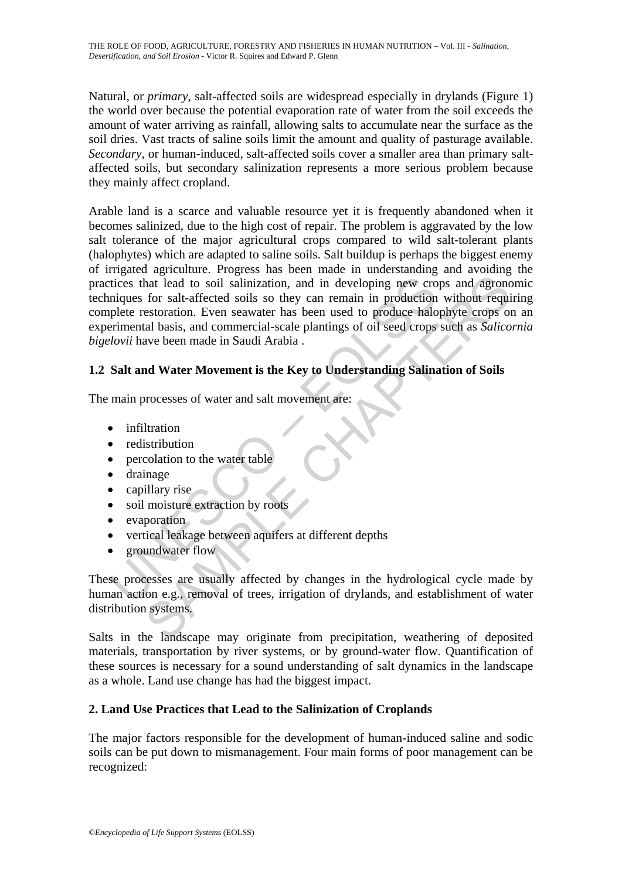Natural, or *primary*, salt-affected soils are widespread especially in drylands (Figure 1) the world over because the potential evaporation rate of water from the soil exceeds the amount of water arriving as rainfall, allowing salts to accumulate near the surface as the soil dries. Vast tracts of saline soils limit the amount and quality of pasturage available. *Secondary*, or human-induced, salt-affected soils cover a smaller area than primary saltaffected soils, but secondary salinization represents a more serious problem because they mainly affect cropland.

The state and the solution, and in developing new crowing<br>tices that lead to soil salinization, and in developing new crowing<br>the restoration. Even seawater has been used to produce halo<br>termental basis, and commercial-sca That lead to soil salinization, and in developing new crops and agronor<br>for salt-affected soils so they can remain in production without require<br>for salt-affected soils so they can remain in production without require<br>test Arable land is a scarce and valuable resource yet it is frequently abandoned when it becomes salinized, due to the high cost of repair. The problem is aggravated by the low salt tolerance of the major agricultural crops compared to wild salt-tolerant plants (halophytes) which are adapted to saline soils. Salt buildup is perhaps the biggest enemy of irrigated agriculture. Progress has been made in understanding and avoiding the practices that lead to soil salinization, and in developing new crops and agronomic techniques for salt-affected soils so they can remain in production without requiring complete restoration. Even seawater has been used to produce halophyte crops on an experimental basis, and commercial-scale plantings of oil seed crops such as *Salicornia bigelovii* have been made in Saudi Arabia .

# **1.2 Salt and Water Movement is the Key to Understanding Salination of Soils**

The main processes of water and salt movement are:

- infiltration
- redistribution
- percolation to the water table
- drainage
- capillary rise
- soil moisture extraction by roots
- evaporation
- vertical leakage between aquifers at different depths
- groundwater flow

These processes are usually affected by changes in the hydrological cycle made by human action e.g., removal of trees, irrigation of drylands, and establishment of water distribution systems.

Salts in the landscape may originate from precipitation, weathering of deposited materials, transportation by river systems, or by ground-water flow. Quantification of these sources is necessary for a sound understanding of salt dynamics in the landscape as a whole. Land use change has had the biggest impact.

# **2. Land Use Practices that Lead to the Salinization of Croplands**

The major factors responsible for the development of human-induced saline and sodic soils can be put down to mismanagement. Four main forms of poor management can be recognized: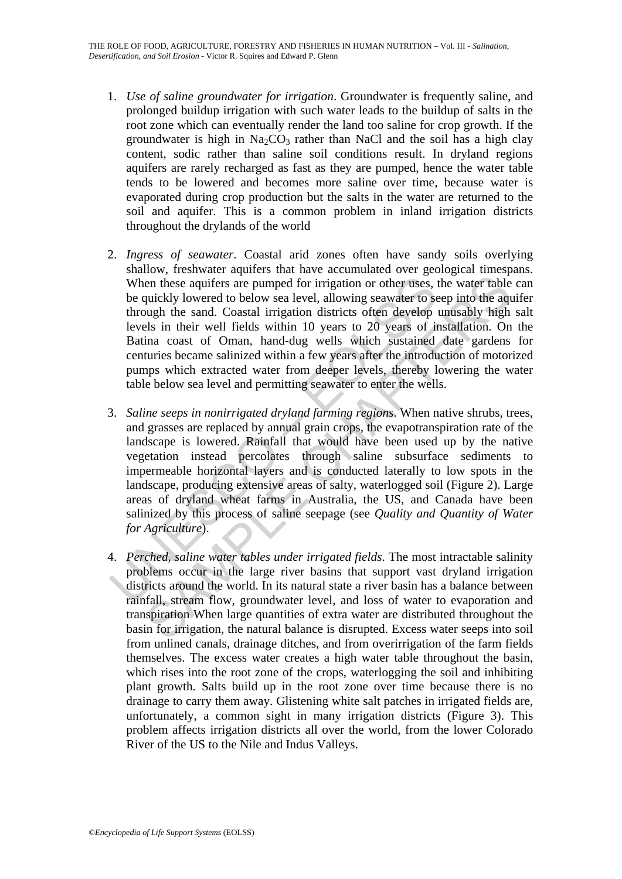- 1. *Use of saline groundwater for irrigation*. Groundwater is frequently saline, and prolonged buildup irrigation with such water leads to the buildup of salts in the root zone which can eventually render the land too saline for crop growth. If the groundwater is high in  $Na<sub>2</sub>CO<sub>3</sub>$  rather than NaCl and the soil has a high clay content, sodic rather than saline soil conditions result. In dryland regions aquifers are rarely recharged as fast as they are pumped, hence the water table tends to be lowered and becomes more saline over time, because water is evaporated during crop production but the salts in the water are returned to the soil and aquifer. This is a common problem in inland irrigation districts throughout the drylands of the world
- 2. *Ingress of seawater*. Coastal arid zones often have sandy soils overlying shallow, freshwater aquifers that have accumulated over geological timespans. When these aquifers are pumped for irrigation or other uses, the water table can be quickly lowered to below sea level, allowing seawater to seep into the aquifer through the sand. Coastal irrigation districts often develop unusably high salt levels in their well fields within 10 years to 20 years of installation. On the Batina coast of Oman, hand-dug wells which sustained date gardens for centuries became salinized within a few years after the introduction of motorized pumps which extracted water from deeper levels, thereby lowering the water table below sea level and permitting seawater to enter the wells.
- When these aquifers are pumped for irrigation or other uses,<br>be quickly lowered to below sea level, allowing seawater to se<br>through the sand. Coastal irrigation districts often develop<br>levels in their well fields within 1 ien these aquifers are pumped for irrigation or other uses, the water table<br>quickly lowered to below sea level, allowing seawater to seep into the aquidably lowered to below sea level, allowing seawater to seep into the aq 3. *Saline seeps in nonirrigated dryland farming regions*. When native shrubs, trees, and grasses are replaced by annual grain crops, the evapotranspiration rate of the landscape is lowered. Rainfall that would have been used up by the native vegetation instead percolates through saline subsurface sediments to impermeable horizontal layers and is conducted laterally to low spots in the landscape, producing extensive areas of salty, waterlogged soil (Figure 2). Large areas of dryland wheat farms in Australia, the US, and Canada have been salinized by this process of saline seepage (see *Quality and Quantity of Water for Agriculture*).
- 4. *Perched, saline water tables under irrigated fields*. The most intractable salinity problems occur in the large river basins that support vast dryland irrigation districts around the world. In its natural state a river basin has a balance between rainfall, stream flow, groundwater level, and loss of water to evaporation and transpiration When large quantities of extra water are distributed throughout the basin for irrigation, the natural balance is disrupted. Excess water seeps into soil from unlined canals, drainage ditches, and from overirrigation of the farm fields themselves. The excess water creates a high water table throughout the basin, which rises into the root zone of the crops, waterlogging the soil and inhibiting plant growth. Salts build up in the root zone over time because there is no drainage to carry them away. Glistening white salt patches in irrigated fields are, unfortunately, a common sight in many irrigation districts (Figure 3). This problem affects irrigation districts all over the world, from the lower Colorado River of the US to the Nile and Indus Valleys.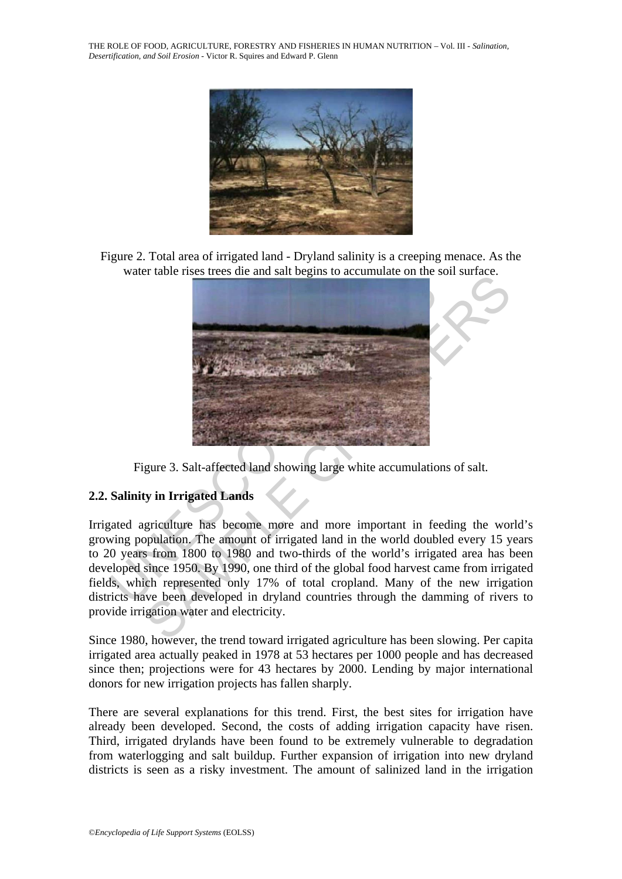THE ROLE OF FOOD, AGRICULTURE, FORESTRY AND FISHERIES IN HUMAN NUTRITION – Vol. III - *Salination, Desertification, and Soil Erosion* - Victor R. Squires and Edward P. Glenn



Figure 2. Total area of irrigated land - Dryland salinity is a creeping menace. As the water table rises trees die and salt begins to accumulate on the soil surface.



Figure 3. Salt-affected land showing large white accumulations of salt.

#### **2.2. Salinity in Irrigated Lands**

Irrigated agriculture has become more and more important in feeding the world's growing population. The amount of irrigated land in the world doubled every 15 years to 20 years from 1800 to 1980 and two-thirds of the world's irrigated area has been developed since 1950. By 1990, one third of the global food harvest came from irrigated fields, which represented only 17% of total cropland. Many of the new irrigation districts have been developed in dryland countries through the damming of rivers to provide irrigation water and electricity.

Since 1980, however, the trend toward irrigated agriculture has been slowing. Per capita irrigated area actually peaked in 1978 at 53 hectares per 1000 people and has decreased since then; projections were for 43 hectares by 2000. Lending by major international donors for new irrigation projects has fallen sharply.

There are several explanations for this trend. First, the best sites for irrigation have already been developed. Second, the costs of adding irrigation capacity have risen. Third, irrigated drylands have been found to be extremely vulnerable to degradation from waterlogging and salt buildup. Further expansion of irrigation into new dryland districts is seen as a risky investment. The amount of salinized land in the irrigation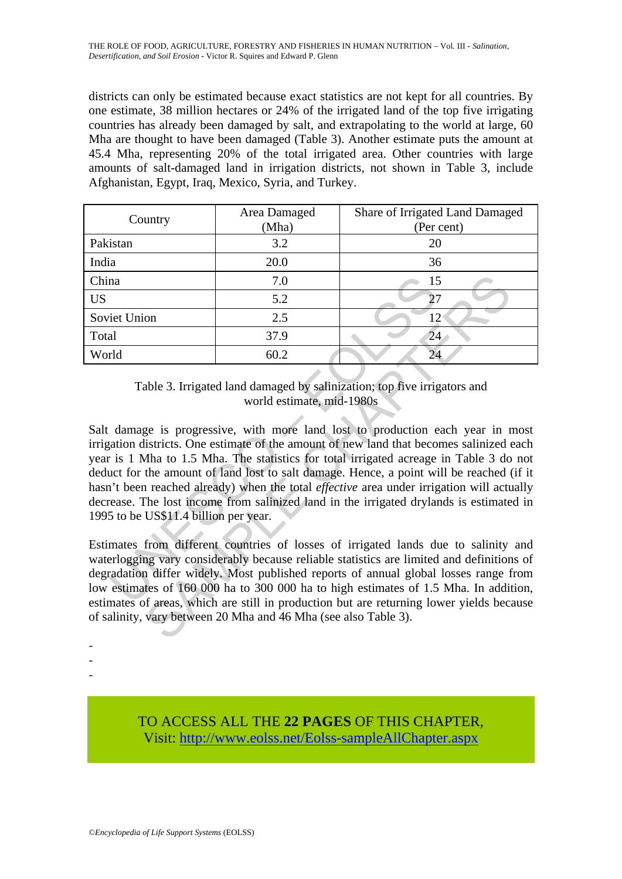districts can only be estimated because exact statistics are not kept for all countries. By one estimate, 38 million hectares or 24% of the irrigated land of the top five irrigating countries has already been damaged by salt, and extrapolating to the world at large, 60 Mha are thought to have been damaged (Table 3). Another estimate puts the amount at 45.4 Mha, representing 20% of the total irrigated area. Other countries with large amounts of salt-damaged land in irrigation districts, not shown in Table 3, include Afghanistan, Egypt, Iraq, Mexico, Syria, and Turkey.

| Country      | Area Damaged<br>(Mha) | Share of Irrigated Land Damaged<br>(Per cent) |
|--------------|-----------------------|-----------------------------------------------|
| Pakistan     | 3.2                   | 20                                            |
| India        | 20.0                  | 36                                            |
| China        | 7.0                   | 15                                            |
| <b>US</b>    | 5.2                   | 27                                            |
| Soviet Union | 2.5                   | 12                                            |
| Total        | 37.9                  | 24                                            |
| World        | 60.2                  | 24                                            |

Table 3. Irrigated land damaged by salinization; top five irrigators and world estimate, mid-1980s

 $\begin{array}{c|c} \hline \text{max} & \text{7.0} & \text{15} \\ \hline \end{array}$ <br>  $\begin{array}{c|c} \hline \text{5.2} & \text{2.5} & \text{12} \\ \hline \text{1d} & \text{37.9} & \text{22} \\ \hline \end{array}$ <br>  $\begin{array}{c|c} \hline \text{rule 3.1ex} & \text{37.9} & \text{22} \\ \hline \end{array}$ <br>  $\begin{array}{c} \hline \text{Table 3. Irigated land damaged by salinization; top five irrig world estimates, mid-1980s} \\ \hline \end{array}$  $\begin{array}{r|l}\n 7.0 & 15 \\
 \hline\n 5.2 & 27 \\
 \hline\n 37.9 & 2.5 \\
 \hline\n 60.2 & 24\n \end{array}$ <br>
able 3. Irrigated land damaged by salinization; top five irrigators and world estimate, mid-1980s<br>
ge is progressive, with more land lost to production Salt damage is progressive, with more land lost to production each year in most irrigation districts. One estimate of the amount of new land that becomes salinized each year is 1 Mha to 1.5 Mha. The statistics for total irrigated acreage in Table 3 do not deduct for the amount of land lost to salt damage. Hence, a point will be reached (if it hasn't been reached already) when the total *effective* area under irrigation will actually decrease. The lost income from salinized land in the irrigated drylands is estimated in 1995 to be US\$11.4 billion per year.

Estimates from different countries of losses of irrigated lands due to salinity and waterlogging vary considerably because reliable statistics are limited and definitions of degradation differ widely. Most published reports of annual global losses range from low estimates of 160 000 ha to 300 000 ha to high estimates of 1.5 Mha. In addition, estimates of areas, which are still in production but are returning lower yields because of salinity, vary between 20 Mha and 46 Mha (see also Table 3).

- -
- -

-

TO ACCESS ALL THE **22 PAGES** OF THIS CHAPTER, Visi[t: http://www.eolss.net/Eolss-sampleAllChapter.aspx](https://www.eolss.net/ebooklib/sc_cart.aspx?File=E5-01A-04-05)